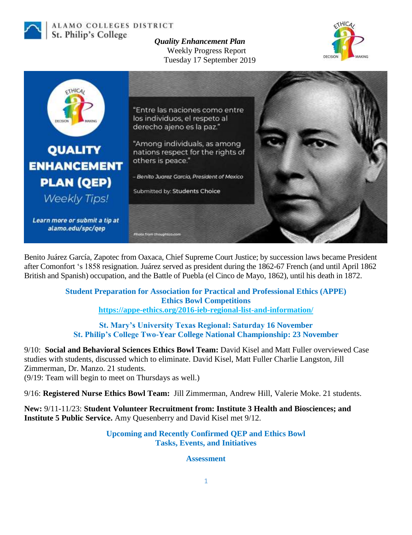

ALAMO COLLEGES DISTRICT St. Philip's College

*Quality Enhancement Plan* Weekly Progress Report Tuesday 17 September 2019





Benito Juárez García, Zapotec from Oaxaca, Chief Supreme Court Justice; by succession laws became President after Comonfort 's 1858 resignation. Juárez served as president during the 1862-67 French (and until April 1862 British and Spanish) occupation, and the Battle of Puebla (el Cinco de Mayo, 1862), until his death in 1872.

> **Student Preparation for Association for Practical and Professional Ethics (APPE) Ethics Bowl Competitions <https://appe-ethics.org/2016-ieb-regional-list-and-information/>**

**St. Mary's University Texas Regional: Saturday 16 November St. Philip's College Two-Year College National Championship: 23 November** 

9/10: **Social and Behavioral Sciences Ethics Bowl Team:** David Kisel and Matt Fuller overviewed Case studies with students, discussed which to eliminate. David Kisel, Matt Fuller Charlie Langston, Jill Zimmerman, Dr. Manzo. 21 students. (9/19: Team will begin to meet on Thursdays as well.)

9/16: **Registered Nurse Ethics Bowl Team:** Jill Zimmerman, Andrew Hill, Valerie Moke. 21 students.

**New:** 9/11-11/23: **Student Volunteer Recruitment from: Institute 3 Health and Biosciences; and Institute 5 Public Service.** Amy Quesenberry and David Kisel met 9/12.

> **Upcoming and Recently Confirmed QEP and Ethics Bowl Tasks, Events, and Initiatives**

> > **Assessment**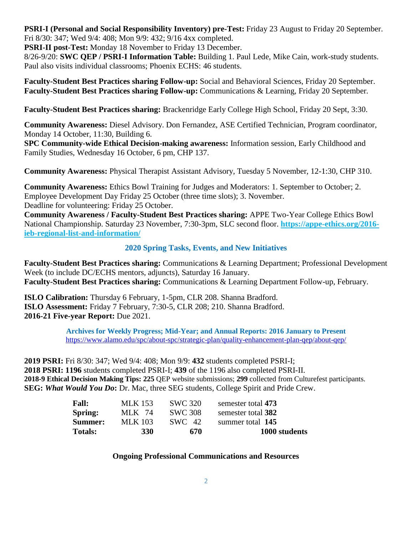**PSRI-I (Personal and Social Responsibility Inventory) pre-Test:** Friday 23 August to Friday 20 September. Fri 8/30: 347; Wed 9/4: 408; Mon 9/9: 432; 9/16 4xx completed.

**PSRI-II post-Test:** Monday 18 November to Friday 13 December.

8/26-9/20: **SWC QEP / PSRI-I Information Table:** Building 1. Paul Lede, Mike Cain, work-study students. Paul also visits individual classrooms; Phoenix ECHS: 46 students.

**Faculty-Student Best Practices sharing Follow-up:** Social and Behavioral Sciences, Friday 20 September. **Faculty-Student Best Practices sharing Follow-up:** Communications & Learning, Friday 20 September.

**Faculty-Student Best Practices sharing:** Brackenridge Early College High School, Friday 20 Sept, 3:30.

**Community Awareness:** Diesel Advisory. Don Fernandez, ASE Certified Technician, Program coordinator, Monday 14 October, 11:30, Building 6.

**SPC Community-wide Ethical Decision-making awareness:** Information session, Early Childhood and Family Studies, Wednesday 16 October, 6 pm, CHP 137.

**Community Awareness:** Physical Therapist Assistant Advisory, Tuesday 5 November, 12-1:30, CHP 310.

**Community Awareness:** Ethics Bowl Training for Judges and Moderators: 1. September to October; 2. Employee Development Day Friday 25 October (three time slots); 3. November. Deadline for volunteering: Friday 25 October.

**Community Awareness / Faculty-Student Best Practices sharing:** APPE Two-Year College Ethics Bowl National Championship. Saturday 23 November, 7:30-3pm, SLC second floor. **[https://appe-ethics.org/2016](https://appe-ethics.org/2016-ieb-regional-list-and-information/) [ieb-regional-list-and-information/](https://appe-ethics.org/2016-ieb-regional-list-and-information/)**

## **2020 Spring Tasks, Events, and New Initiatives**

**Faculty-Student Best Practices sharing:** Communications & Learning Department; Professional Development Week (to include DC/ECHS mentors, adjuncts), Saturday 16 January. **Faculty-Student Best Practices sharing:** Communications & Learning Department Follow-up, February.

**ISLO Calibration:** Thursday 6 February, 1-5pm, CLR 208. Shanna Bradford. **ISLO Assessment:** Friday 7 February, 7:30-5, CLR 208; 210. Shanna Bradford. **2016-21 Five-year Report:** Due 2021.

> **Archives for Weekly Progress; Mid-Year; and Annual Reports: 2016 January to Present** <https://www.alamo.edu/spc/about-spc/strategic-plan/quality-enhancement-plan-qep/about-qep/>

**2019 PSRI:** Fri 8/30: 347; Wed 9/4: 408; Mon 9/9: **432** students completed PSRI-I; **2018 PSRI: 1196** students completed PSRI-I; **439** of the 1196 also completed PSRI-II. **2018-9 Ethical Decision Making Tips: 225** QEP website submissions; **299** collected from Culturefest participants. **SEG:** *What Would You Do***:** Dr. Mac, three SEG students, College Spirit and Pride Crew.

| <b>Fall:</b>   | MLK 153    | SWC 320        | semester total 473 |
|----------------|------------|----------------|--------------------|
| Spring:        | MLK 74     | <b>SWC 308</b> | semester total 382 |
| Summer:        | MLK 103    | SWC 42         | summer total 145   |
| <b>Totals:</b> | <b>330</b> | 670            | 1000 students      |

## **Ongoing Professional Communications and Resources**